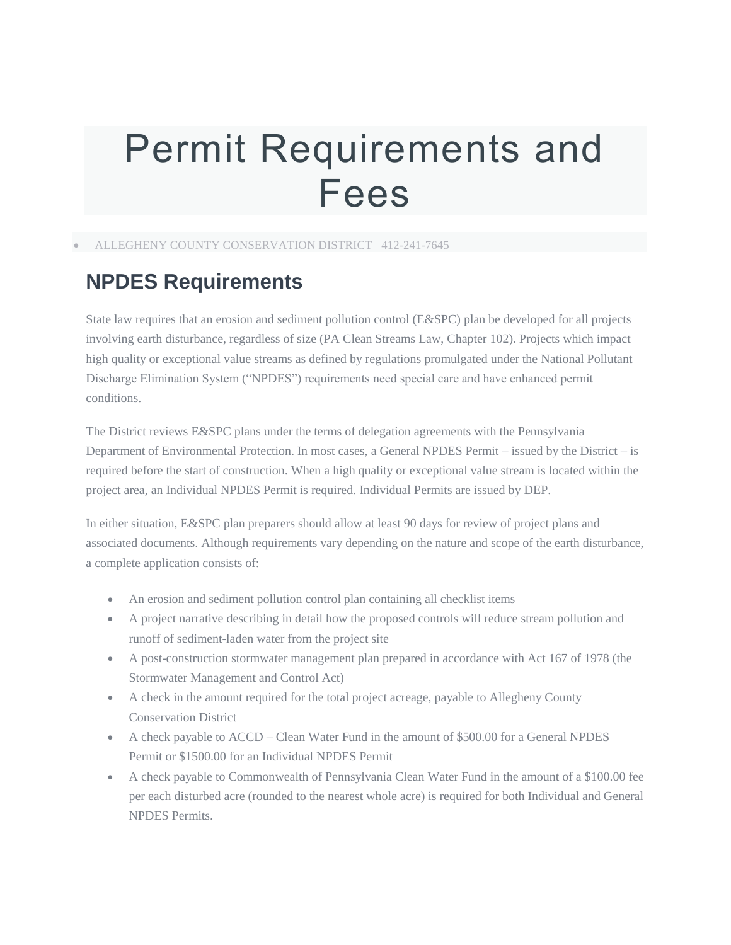# Permit Requirements and Fees

ALLEGHENY COUNTY CONSERVATION DISTRICT –412-241-7645

## **NPDES Requirements**

State law requires that an erosion and sediment pollution control (E&SPC) plan be developed for all projects involving earth disturbance, regardless of size (PA Clean Streams Law, Chapter 102). Projects which impact high quality or exceptional value streams as defined by regulations promulgated under the National Pollutant Discharge Elimination System ("NPDES") requirements need special care and have enhanced permit conditions.

The District reviews E&SPC plans under the terms of delegation agreements with the Pennsylvania Department of Environmental Protection. In most cases, a General NPDES Permit – issued by the District – is required before the start of construction. When a high quality or exceptional value stream is located within the project area, an Individual NPDES Permit is required. Individual Permits are issued by DEP.

In either situation, E&SPC plan preparers should allow at least 90 days for review of project plans and associated documents. Although requirements vary depending on the nature and scope of the earth disturbance, a complete application consists of:

- An erosion and sediment pollution control plan containing all checklist items
- A project narrative describing in detail how the proposed controls will reduce stream pollution and runoff of sediment-laden water from the project site
- A post-construction stormwater management plan prepared in accordance with Act 167 of 1978 (the Stormwater Management and Control Act)
- A check in the amount required for the total project acreage, payable to Allegheny County Conservation District
- A check payable to ACCD Clean Water Fund in the amount of \$500.00 for a General NPDES Permit or \$1500.00 for an Individual NPDES Permit
- A check payable to Commonwealth of Pennsylvania Clean Water Fund in the amount of a \$100.00 fee per each disturbed acre (rounded to the nearest whole acre) is required for both Individual and General NPDES Permits.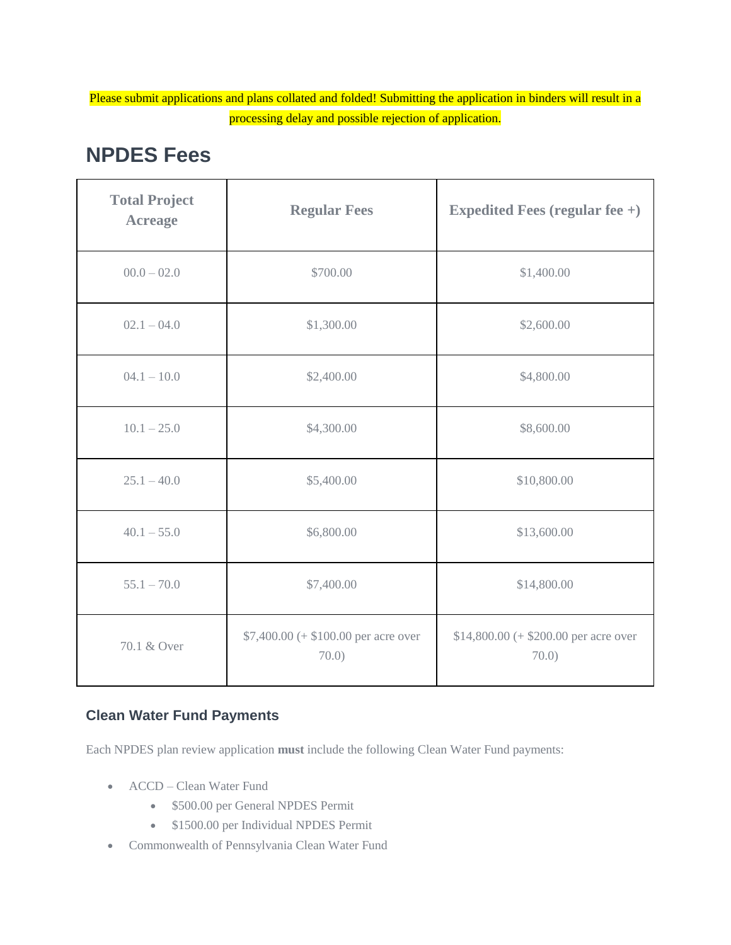Please submit applications and plans collated and folded! Submitting the application in binders will result in a processing delay and possible rejection of application.

| <b>Total Project</b><br><b>Acreage</b> | <b>Regular Fees</b>                          | <b>Expedited Fees (regular fee +)</b>         |
|----------------------------------------|----------------------------------------------|-----------------------------------------------|
| $00.0 - 02.0$                          | \$700.00                                     | \$1,400.00                                    |
| $02.1 - 04.0$                          | \$1,300.00                                   | \$2,600.00                                    |
| $04.1 - 10.0$                          | \$2,400.00                                   | \$4,800.00                                    |
| $10.1 - 25.0$                          | \$4,300.00                                   | \$8,600.00                                    |
| $25.1 - 40.0$                          | \$5,400.00                                   | \$10,800.00                                   |
| $40.1 - 55.0$                          | \$6,800.00                                   | \$13,600.00                                   |
| $55.1 - 70.0$                          | \$7,400.00                                   | \$14,800.00                                   |
| 70.1 & Over                            | $$7,400.00 (+ $100.00 per acre over$<br>70.0 | \$14,800.00 (+ \$200.00 per acre over<br>70.0 |

## **NPDES Fees**

#### **Clean Water Fund Payments**

Each NPDES plan review application **must** include the following Clean Water Fund payments:

- ACCD Clean Water Fund
	- \$500.00 per General NPDES Permit
	- \$1500.00 per Individual NPDES Permit
- Commonwealth of Pennsylvania Clean Water Fund